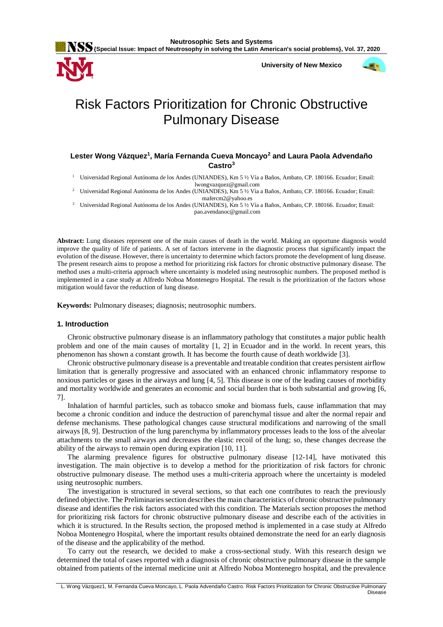**University of New Mexico**



# Risk Factors Prioritization for Chronic Obstructive Pulmonary Disease

# **Lester Wong Vázquez<sup>1</sup> , María Fernanda Cueva Moncayo<sup>2</sup> and Laura Paola Advendaño Castro<sup>3</sup>**

<sup>1</sup> Universidad Regional Autónoma de los Andes (UNIANDES), Km 5 ½ Vía a Baños, Ambato, CP. 180166. Ecuador; Email: lwongvazquez@gmail.com

<sup>2</sup> Universidad Regional Autónoma de los Andes (UNIANDES), Km 5 ½ Vía a Baños, Ambato, CP. 180166. Ecuador; Email: mafercm2@yahoo.es

<sup>3</sup> Universidad Regional Autónoma de los Andes (UNIANDES), Km 5 ½ Vía a Baños, Ambato, CP. 180166. Ecuador; Email: pao.avendanoc@gmail.com

**Abstract:** Lung diseases represent one of the main causes of death in the world. Making an opportune diagnosis would improve the quality of life of patients. A set of factors intervene in the diagnostic process that significantly impact the evolution of the disease. However, there is uncertainty to determine which factors promote the development of lung disease. The present research aims to propose a method for prioritizing risk factors for chronic obstructive pulmonary disease. The method uses a multi-criteria approach where uncertainty is modeled using neutrosophic numbers. The proposed method is implemented in a case study at Alfredo Noboa Montenegro Hospital. The result is the prioritization of the factors whose mitigation would favor the reduction of lung disease.

**Keywords:** Pulmonary diseases; diagnosis; neutrosophic numbers.

#### **1. Introduction**

Chronic obstructive pulmonary disease is an inflammatory pathology that constitutes a major public health problem and one of the main causes of mortality [\[1,](#page-8-0) [2\]](#page-8-1) in Ecuador and in the world. In recent years, this phenomenon has shown a constant growth. It has become the fourth cause of death worldwide [\[3\]](#page-8-2).

Chronic obstructive pulmonary disease is a preventable and treatable condition that creates persistent airflow limitation that is generally progressive and associated with an enhanced chronic inflammatory response to noxious particles or gases in the airways and lung [\[4,](#page-8-3) [5\]](#page-8-4). This disease is one of the leading causes of morbidity and mortality worldwide and generates an economic and social burden that is both substantial and growing [\[6,](#page-9-0) [7\]](#page-9-1).

Inhalation of harmful particles, such as tobacco smoke and biomass fuels, cause inflammation that may become a chronic condition and induce the destruction of parenchymal tissue and alter the normal repair and defense mechanisms. These pathological changes cause structural modifications and narrowing of the small airways [\[8,](#page-9-2) [9\]](#page-9-3). Destruction of the lung parenchyma by inflammatory processes leads to the loss of the alveolar attachments to the small airways and decreases the elastic recoil of the lung; so, these changes decrease the ability of the airways to remain open during expiration [\[10,](#page-9-4) [11\]](#page-9-5).

The alarming prevalence figures for obstructive pulmonary disease [\[12-14\]](#page-9-6), have motivated this investigation. The main objective is to develop a method for the prioritization of risk factors for chronic obstructive pulmonary disease. The method uses a multi-criteria approach where the uncertainty is modeled using neutrosophic numbers.

The investigation is structured in several sections, so that each one contributes to reach the previously defined objective. The Preliminaries section describes the main characteristics of chronic obstructive pulmonary disease and identifies the risk factors associated with this condition. The Materials section proposes the method for prioritizing risk factors for chronic obstructive pulmonary disease and describe each of the activities in which it is structured. In the Results section, the proposed method is implemented in a case study at Alfredo Noboa Montenegro Hospital, where the important results obtained demonstrate the need for an early diagnosis of the disease and the applicability of the method.

To carry out the research, we decided to make a cross-sectional study. With this research design we determined the total of cases reported with a diagnosis of chronic obstructive pulmonary disease in the sample obtained from patients of the internal medicine unit at Alfredo Noboa Montenegro hospital, and the prevalence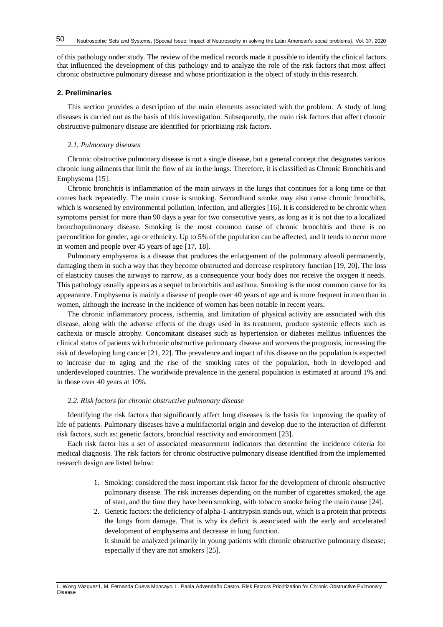of this pathology under study. The review of the medical records made it possible to identify the clinical factors that influenced the development of this pathology and to analyze the role of the risk factors that most affect chronic obstructive pulmonary disease and whose prioritization is the object of study in this research.

## **2. Preliminaries**

This section provides a description of the main elements associated with the problem. A study of lung diseases is carried out as the basis of this investigation. Subsequently, the main risk factors that affect chronic obstructive pulmonary disease are identified for prioritizing risk factors.

#### *2.1. Pulmonary diseases*

Chronic obstructive pulmonary disease is not a single disease, but a general concept that designates various chronic lung ailments that limit the flow of air in the lungs. Therefore, it is classified as Chronic Bronchitis and Emphysema [\[15\]](#page-9-7).

Chronic bronchitis is inflammation of the main airways in the lungs that continues for a long time or that comes back repeatedly. The main cause is smoking. Secondhand smoke may also cause chronic bronchitis, which is worsened by environmental pollution, infection, and allergies [\[16\]](#page-9-8). It is considered to be chronic when symptoms persist for more than 90 days a year for two consecutive years, as long as it is not due to a localized bronchopulmonary disease. Smoking is the most common cause of chronic bronchitis and there is no precondition for gender, age or ethnicity. Up to 5% of the population can be affected, and it tends to occur more in women and people over 45 years of age [\[17,](#page-9-9) [18\]](#page-9-10).

Pulmonary emphysema is a disease that produces the enlargement of the pulmonary alveoli permanently, damaging them in such a way that they become obstructed and decrease respiratory function [\[19,](#page-9-11) [20\]](#page-9-12). The loss of elasticity causes the airways to narrow, as a consequence your body does not receive the oxygen it needs. This pathology usually appears as a sequel to bronchitis and asthma. Smoking is the most common cause for its appearance. Emphysema is mainly a disease of people over 40 years of age and is more frequent in men than in women, although the increase in the incidence of women has been notable in recent years.

The chronic inflammatory process, ischemia, and limitation of physical activity are associated with this disease, along with the adverse effects of the drugs used in its treatment, produce systemic effects such as cachexia or muscle atrophy. Concomitant diseases such as hypertension or diabetes mellitus influences the clinical status of patients with chronic obstructive pulmonary disease and worsens the prognosis, increasing the risk of developing lung cancer [\[21,](#page-9-13) [22\]](#page-9-14). The prevalence and impact of this disease on the population is expected to increase due to aging and the rise of the smoking rates of the population, both in developed and underdeveloped countries. The worldwide prevalence in the general population is estimated at around 1% and in those over 40 years at 10%.

#### *2.2. Risk factors for chronic obstructive pulmonary disease*

Identifying the risk factors that significantly affect lung diseases is the basis for improving the quality of life of patients. Pulmonary diseases have a multifactorial origin and develop due to the interaction of different risk factors, such as: genetic factors, bronchial reactivity and environment [\[23\]](#page-9-15).

Each risk factor has a set of associated measurement indicators that determine the incidence criteria for medical diagnosis. The risk factors for chronic obstructive pulmonary disease identified from the implemented research design are listed below:

- 1. Smoking: considered the most important risk factor for the development of chronic obstructive pulmonary disease. The risk increases depending on the number of cigarettes smoked, the age of start, and the time they have been smoking, with tobacco smoke being the main cause [\[24\]](#page-9-16).
- 2. Genetic factors: the deficiency of alpha-1-antitrypsin stands out, which is a protein that protects the lungs from damage. That is why its deficit is associated with the early and accelerated development of emphysema and decrease in lung function.

It should be analyzed primarily in young patients with chronic obstructive pulmonary disease; especially if they are not smokers [\[25\]](#page-10-0).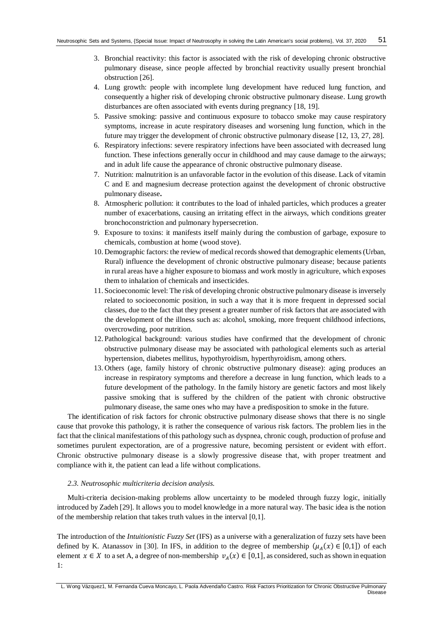- 3. Bronchial reactivity: this factor is associated with the risk of developing chronic obstructive pulmonary disease, since people affected by bronchial reactivity usually present bronchial obstruction [\[26\]](#page-10-1).
- 4. Lung growth: people with incomplete lung development have reduced lung function, and consequently a higher risk of developing chronic obstructive pulmonary disease. Lung growth disturbances are often associated with events during pregnancy [\[18,](#page-9-10) [19\]](#page-9-11).
- 5. Passive smoking: passive and continuous exposure to tobacco smoke may cause respiratory symptoms, increase in acute respiratory diseases and worsening lung function, which in the future may trigger the development of chronic obstructive pulmonary disease [\[12,](#page-9-6) [13,](#page-9-17) [27,](#page-10-2) [28\]](#page-10-3).
- 6. Respiratory infections: severe respiratory infections have been associated with decreased lung function. These infections generally occur in childhood and may cause damage to the airways; and in adult life cause the appearance of chronic obstructive pulmonary disease.
- 7. Nutrition: malnutrition is an unfavorable factor in the evolution of this disease. Lack of vitamin C and E and magnesium decrease protection against the development of chronic obstructive pulmonary disease**.**
- 8. Atmospheric pollution: it contributes to the load of inhaled particles, which produces a greater number of exacerbations, causing an irritating effect in the airways, which conditions greater bronchoconstriction and pulmonary hypersecretion.
- 9. Exposure to toxins: it manifests itself mainly during the combustion of garbage, exposure to chemicals, combustion at home (wood stove).
- 10. Demographic factors: the review of medical records showed that demographic elements (Urban, Rural) influence the development of chronic obstructive pulmonary disease; because patients in rural areas have a higher exposure to biomass and work mostly in agriculture, which exposes them to inhalation of chemicals and insecticides.
- 11.Socioeconomic level: The risk of developing chronic obstructive pulmonary disease is inversely related to socioeconomic position, in such a way that it is more frequent in depressed social classes, due to the fact that they present a greater number of risk factors that are associated with the development of the illness such as: alcohol, smoking, more frequent childhood infections, overcrowding, poor nutrition.
- 12.Pathological background: various studies have confirmed that the development of chronic obstructive pulmonary disease may be associated with pathological elements such as arterial hypertension, diabetes mellitus, hypothyroidism, hyperthyroidism, among others.
- 13. Others (age, family history of chronic obstructive pulmonary disease): aging produces an increase in respiratory symptoms and therefore a decrease in lung function, which leads to a future development of the pathology. In the family history are genetic factors and most likely passive smoking that is suffered by the children of the patient with chronic obstructive pulmonary disease, the same ones who may have a predisposition to smoke in the future.

The identification of risk factors for chronic obstructive pulmonary disease shows that there is no single cause that provoke this pathology, it is rather the consequence of various risk factors. The problem lies in the fact that the clinical manifestations of this pathology such as dyspnea, chronic cough, production of profuse and sometimes purulent expectoration, are of a progressive nature, becoming persistent or evident with effort. Chronic obstructive pulmonary disease is a slowly progressive disease that, with proper treatment and compliance with it, the patient can lead a life without complications.

#### *2.3. Neutrosophic multicriteria decision analysis.*

Multi-criteria decision-making problems allow uncertainty to be modeled through fuzzy logic, initially introduced by Zadeh [\[29\]](#page-10-4). It allows you to model knowledge in a more natural way. The basic idea is the notion of the membership relation that takes truth values in the interval [0,1].

The introduction of the *Intuitionistic Fuzzy Set* (IFS) as a universe with a generalization of fuzzy sets have been defined by K. Atanassov in [\[30\]](#page-10-5). In IFS, in addition to the degree of membership  $(\mu_A(x) \in [0,1])$  of each element  $x \in X$  to a set A, a degree of non-membership  $v_A(x) \in [0,1]$ , as considered, such as shown in equation 1: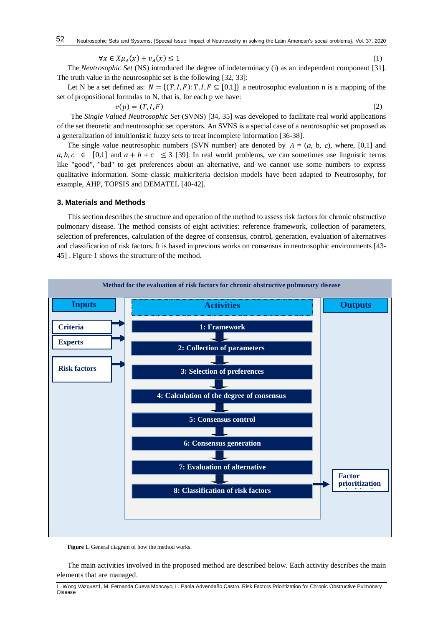$$
\forall x \in X \mu_A(x) + \nu_A(x) \le 1 \tag{1}
$$

The *Neutrosophic Set* (NS) introduced the degree of indeterminacy (i) as an independent component [\[31\]](#page-10-6). The truth value in the neutrosophic set is the following [\[32,](#page-10-7) [33\]](#page-10-8):

Let N be a set defined as:  $N = \{(T, I, F): T, I, F \subseteq [0,1]\}$  a neutrosophic evaluation n is a mapping of the set of propositional formulas to N, that is, for each p we have:

 $v(p) = (T, I, F)$  (2)

The *Single Valued Neutrosophic Set* (SVNS) [\[34,](#page-10-9) [35\]](#page-10-10) was developed to facilitate real world applications of the set theoretic and neutrosophic set operators. An SVNS is a special case of a neutrosophic set proposed as a generalization of intuitionistic fuzzy sets to treat incomplete information [\[36-38\]](#page-10-11).

The single value neutrosophic numbers (SVN number) are denoted by  $A = (a, b, c)$ , where, [0,1] and  $a, b, c \in [0,1]$  and  $a + b + c \leq 3$  [\[39\]](#page-10-12). In real world problems, we can sometimes use linguistic terms like "good", "bad" to get preferences about an alternative, and we cannot use some numbers to express qualitative information. Some classic multicriteria decision models have been adapted to Neutrosophy, for example, AHP, TOPSIS and DEMATEL [\[40-42\]](#page-10-13).

#### **3. Materials and Methods**

This section describes the structure and operation of the method to assess risk factors for chronic obstructive pulmonary disease. The method consists of eight activities: reference framework, collection of parameters, selection of preferences, calculation of the degree of consensus, control, generation, evaluation of alternatives and classification of risk factors. It is based in previous works on consensus in neutrosophic environments [\[43-](#page-10-14) [45\]](#page-10-14) . Figure 1 shows the structure of the method.



**Figure 1.** General diagram of how the method works.

The main activities involved in the proposed method are described below. Each activity describes the main elements that are managed.

L. Wong Vázquez1, M. Fernanda Cueva Moncayo, L. Paola Advendaño Castro. Risk Factors Prioritization for Chronic Obstructive Pulmonary Disease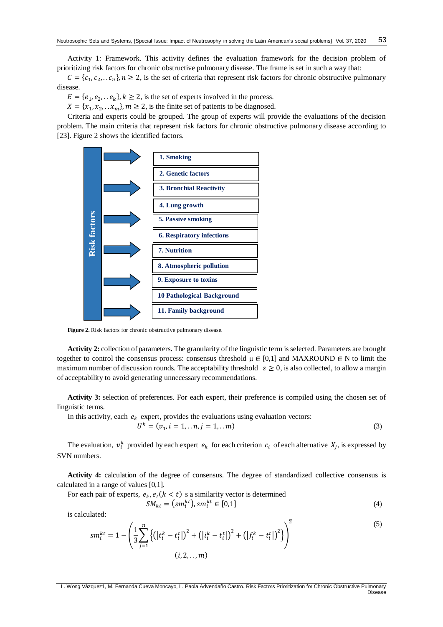Activity 1: Framework. This activity defines the evaluation framework for the decision problem of prioritizing risk factors for chronic obstructive pulmonary disease. The frame is set in such a way that:

 $C = \{c_1, c_2, \dots c_n\}, n \ge 2$ , is the set of criteria that represent risk factors for chronic obstructive pulmonary disease.

 $E = \{e_1, e_2, \dots e_k\}, k \ge 2$ , is the set of experts involved in the process.

 $X = \{x_1, x_2, \ldots, x_m\}, m \ge 2$ , is the finite set of patients to be diagnosed.

Criteria and experts could be grouped. The group of experts will provide the evaluations of the decision problem. The main criteria that represent risk factors for chronic obstructive pulmonary disease according to [\[23\]](#page-9-15). Figure 2 shows the identified factors.



**Figure 2.** Risk factors for chronic obstructive pulmonary disease.

**Activity 2:** collection of parameters**.** The granularity of the linguistic term is selected. Parameters are brought together to control the consensus process: consensus threshold  $\mu \in [0,1]$  and MAXROUND  $\in \mathbb{N}$  to limit the maximum number of discussion rounds. The acceptability threshold  $\varepsilon \ge 0$ , is also collected, to allow a margin of acceptability to avoid generating unnecessary recommendations.

**Activity 3:** selection of preferences. For each expert, their preference is compiled using the chosen set of linguistic terms.

In this activity, each  $e_k$  expert, provides the evaluations using evaluation vectors:

$$
U^k = (v_1, i = 1, \dots n, j = 1, \dots m)
$$
\n(3)

The evaluation,  $v_i^k$  provided by each expert  $e_k$  for each criterion  $c_i$  of each alternative  $X_j$ , is expressed by SVN numbers.

**Activity 4:** calculation of the degree of consensus. The degree of standardized collective consensus is calculated in a range of values [0,1].

For each pair of experts,  $e_k$ ,  $e_t$  ( $k < t$ ) s a similarity vector is determined

$$
SM_{kt} = (sm_i^{kt}), sm_i^{kt} \in [0,1]
$$
\n
$$
(4)
$$

is calculated:

$$
sm_i^{kt} = 1 - \left(\frac{1}{3} \sum_{j=1}^n \left\{ \left( |t_i^k - t_i^t| \right)^2 + \left( |i_i^k - t_i^t| \right)^2 + \left( |f_i^k - t_i^t| \right)^2 \right\} \right)^2
$$
\n
$$
(i, 2, ..., m)
$$
\n(5)

L. Wong Vázquez1, M. Fernanda Cueva Moncayo, L. Paola Advendaño Castro. Risk Factors Prioritization for Chronic Obstructive Pulmonary Disease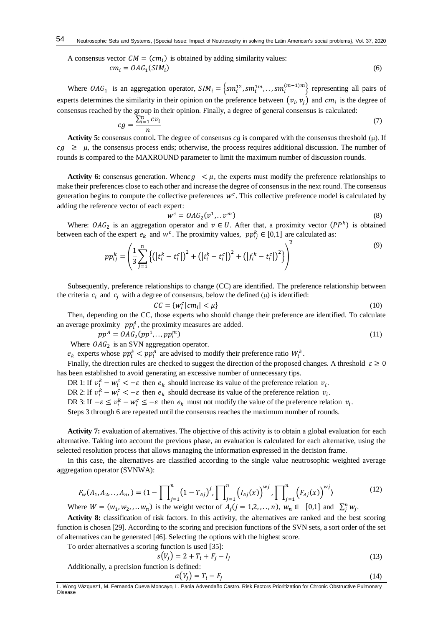A consensus vector  $CM = (cm_i)$  is obtained by adding similarity values:  $cm_i = OAG_1(SIM_i)$ ) (6)

Where  $OAG_1$  is an aggregation operator,  $SIM_i = \{sm_i^{12}, sm_i^{1m}, \ldots, sm_i^{(m-1)m}\}\)$  representing all pairs of experts determines the similarity in their opinion on the preference between  $(v_i, v_j)$  and  $cm_i$  is the degree of consensus reached by the group in their opinion. Finally, a degree of general consensus is calculated:

$$
cg = \frac{\sum_{i=1}^{n} cv_i}{n} \tag{7}
$$

**Activity 5:** consensus control**.** The degree of consensus *cg* is compared with the consensus threshold (μ). If  $cg \geq \mu$ , the consensus process ends; otherwise, the process requires additional discussion. The number of rounds is compared to the MAXROUND parameter to limit the maximum number of discussion rounds.

**Activity 6:** consensus generation. When  $c\mathfrak{g} < \mu$ , the experts must modify the preference relationships to make their preferences close to each other and increase the degree of consensus in the next round. The consensus generation begins to compute the collective preferences  $w^c$ . This collective preference model is calculated by adding the reference vector of each expert:

$$
w^c = OAG_2(v^1, \dots v^m) \tag{8}
$$

Where:  $OAG_2$  is an aggregation operator and  $v \in U$ . After that, a proximity vector  $(PP^k)$  is obtained between each of the expert  $e_k$  and  $w^c$ . The proximity values,  $pp_{ij}^k \in [0,1]$  are calculated as:

$$
pp_{ij}^{k} = \left(\frac{1}{3} \sum_{j=1}^{n} \left\{ \left( \left| t_{i}^{k} - t_{i}^{c} \right| \right)^{2} + \left( \left| t_{i}^{k} - t_{i}^{c} \right| \right)^{2} + \left( \left| f_{i}^{k} - t_{i}^{c} \right| \right)^{2} \right\} \right)^{2}
$$
\n(9)

Subsequently, preference relationships to change (CC) are identified. The preference relationship between the criteria  $c_i$  and  $c_j$  with a degree of consensus, below the defined ( $\mu$ ) is identified:

$$
CC = \{w_i^c | cm_i | < \mu\} \tag{10}
$$

Then, depending on the CC, those experts who should change their preference are identified. To calculate an average proximity  $pp_i^A$ , the proximity measures are added.

$$
pp^{A} = OAG_{2}(pp^{1},..,pp_{l}^{m})
$$
\n(11)

Where  $OAG<sub>2</sub>$  is an SVN aggregation operator.

 $e_k$  experts whose  $pp_i^k < pp_i^A$  are advised to modify their preference ratio  $W_i^k$ .

Finally, the direction rules are checked to suggest the direction of the proposed changes. A threshold  $\epsilon \ge 0$ has been established to avoid generating an excessive number of unnecessary tips.

DR 1: If  $v_i^k - w_i^c < -\varepsilon$  then  $e_k$  should increase its value of the preference relation  $v_i$ .

DR 2: If  $v_i^k - w_i^c < -\varepsilon$  then  $e_k$  should decrease its value of the preference relation  $v_i$ .

DR 3: If  $-\varepsilon \le v_i^k - w_i^c$  ≤  $-\varepsilon$  then  $e_k$  must not modify the value of the preference relation  $v_i$ .

Steps 3 through 6 are repeated until the consensus reaches the maximum number of rounds.

Activity 7: evaluation of alternatives. The objective of this activity is to obtain a global evaluation for each alternative. Taking into account the previous phase, an evaluation is calculated for each alternative, using the selected resolution process that allows managing the information expressed in the decision frame.

In this case, the alternatives are classified according to the single value neutrosophic weighted average aggregation operator (SVNWA):

$$
F_w(A_1, A_2, \dots, A_n) = (1 - \prod_{j=1}^n (1 - T_{Aj})^j, \prod_{j=1}^n (I_{Aj}(x))^{wj}, \prod_{j=1}^n (F_{Aj}(x))^{wj}
$$
  
\nWhere  $W = (w_1, w_2, \dots w_n)$  is the weight vector of  $A_j (j = 1, 2, \dots, n)$ ,  $w_n \in [0, 1]$  and  $\sum_j^n w_j$ . (12)

Activity 8: classification of risk factors. In this activity, the alternatives are ranked and the best scoring function is chosen [\[29\]](#page-10-4). According to the scoring and precision functions of the SVN sets, a sort order of the set of alternatives can be generated [\[46\]](#page-10-15). Selecting the options with the highest score.

To order alternatives a scoring function is used [35]:

$$
s(V_j) = 2 + T_i + F_j - I_j
$$
 (13)

Additionally, a precision function is defined:

$$
a(V_j) = T_i - F_j \tag{14}
$$

L. Wong Vázquez1, M. Fernanda Cueva Moncayo, L. Paola Advendaño Castro. Risk Factors Prioritization for Chronic Obstructive Pulmonary Disease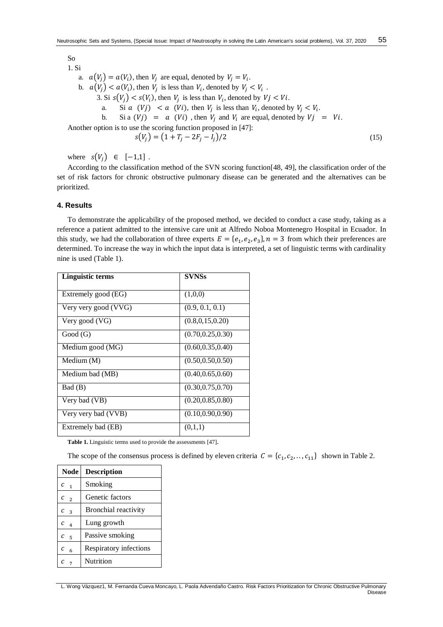1. Si a.  $a(V_j) = a(V_i)$ , then  $V_j$  are equal, denoted by  $V_j = V_i$ . b.  $a(V_j) < a(V_i)$ , then  $V_j$  is less than  $V_i$ , denoted by  $V_j < V_i$ . 3. Si  $s(V_j) < s(V_i)$ , then  $V_j$  is less than  $V_i$ , denoted by  $V_j < V_i$ . a. Si  $a \quad (Vj) \quad < a \quad (Vi)$ , then  $V_j$  is less than  $V_i$ , denoted by  $V_j < V_i$ . b. Si a  $(Vj) = a (Vi)$ , then  $V_i$  and  $V_i$  are equal, denoted by  $Vj = Vi$ . Another option is to use the scoring function proposed in [\[47\]](#page-10-16):  $s(V_i) = (1 + T_i - 2F_i - I_i)/2$  (15)

where  $s(V_i) \in [-1,1]$ .

According to the classification method of the SVN scoring function[\[48,](#page-11-0) [49\]](#page-11-1), the classification order of the set of risk factors for chronic obstructive pulmonary disease can be generated and the alternatives can be prioritized.

# **4. Results**

So

To demonstrate the applicability of the proposed method, we decided to conduct a case study, taking as a reference a patient admitted to the intensive care unit at Alfredo Noboa Montenegro Hospital in Ecuador. In this study, we had the collaboration of three experts  $E = \{e_1, e_2, e_3\}$ ,  $n = 3$  from which their preferences are determined. To increase the way in which the input data is interpreted, a set of linguistic terms with cardinality nine is used (Table 1).

| <b>Linguistic terms</b> | <b>SVNSs</b>       |
|-------------------------|--------------------|
| Extremely good (EG)     | (1,0,0)            |
| Very very good (VVG)    | (0.9, 0.1, 0.1)    |
| Very good (VG)          | (0.8, 0.15, 0.20)  |
| Good(G)                 | (0.70, 0.25, 0.30) |
| Medium good (MG)        | (0.60, 0.35, 0.40) |
| Medium (M)              | (0.50, 0.50, 0.50) |
| Medium bad (MB)         | (0.40, 0.65, 0.60) |
| Bad (B)                 | (0.30, 0.75, 0.70) |
| Very bad (VB)           | (0.20, 0.85, 0.80) |
| Very very bad (VVB)     | (0.10, 0.90, 0.90) |
| Extremely bad (EB)      | (0,1,1)            |

**Table 1.** Linguistic terms used to provide the assessments [\[47\]](#page-10-16).

The scope of the consensus process is defined by eleven criteria  $C = \{c_1, c_2, \ldots, c_{11}\}\;$  shown in Table 2.

| <b>Node</b> | <b>Description</b>     |
|-------------|------------------------|
| $c_{1}$     | Smoking                |
| $c_{2}$     | Genetic factors        |
| $c_{3}$     | Bronchial reactivity   |
| $C_{4}$     | Lung growth            |
| с<br>-5     | Passive smoking        |
| с<br>6      | Respiratory infections |
| $c_{7}$     | Nutrition              |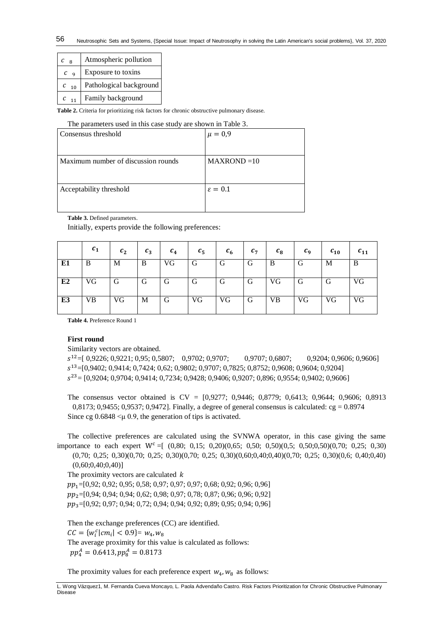| C                   | Atmospheric pollution   |
|---------------------|-------------------------|
| $C_{\alpha}$        | Exposure to toxins      |
| $\mathcal{C}$<br>10 | Pathological background |
| $C_{11}$            | Family background       |

**Table 2.** Criteria for prioritizing risk factors for chronic obstructive pulmonary disease.

#### The parameters used in this case study are shown in Table 3.

| Consensus threshold                 | $\mu = 0.9$         |
|-------------------------------------|---------------------|
|                                     |                     |
| Maximum number of discussion rounds | $MAXROND = 10$      |
|                                     |                     |
| Acceptability threshold             | $\varepsilon = 0.1$ |
|                                     |                     |

**Table 3.** Defined parameters.

Initially, experts provide the following preferences:

|    | $c_{1}$   | $c_2$ | $c_3$ | c <sub>4</sub> | $c_{5}$ | $c_{6}$ | $c_{7}$ | $c_8$ | $c_{9}$ | $c_{10}$ | $c_{11}$ |
|----|-----------|-------|-------|----------------|---------|---------|---------|-------|---------|----------|----------|
| E1 | B         | M     | B     | VG             | G       | G       | G       | B     | Gì      | M        | B        |
| E2 | VG        | G     | G     | G              | G       | G       | G       | VG    | G       | G        | VG       |
| E3 | <b>VB</b> | VG    | M     | G              | VG      | VG      | G       | VВ    | VG      | VG       | VG       |

**Table 4.** Preference Round 1

# **First round**

Similarity vectors are obtained.

 $s^{12}$  = [ 0,9226; 0,9221; 0,95; 0,5807; 0,9702; 0,9707; 0,9707; 0,6807; 0,9204; 0,9606; 0,9606] <sup>13</sup>=[0,9402; 0,9414; 0,7424; 0,62; 0,9802; 0,9707; 0,7825; 0,8752; 0,9608; 0,9604; 0,9204]  $s^{23}$  = [0,9204; 0,9704; 0,9414; 0,7234; 0,9428; 0,9406; 0,9207; 0,896; 0,9554; 0,9402; 0,9606]

The consensus vector obtained is CV = [0,9277; 0,9446; 0,8779; 0,6413; 0,9644; 0,9606; 0,8913  $0,8173$ ;  $0,9455$ ;  $0,9537$ ;  $0,9472$ ]. Finally, a degree of general consensus is calculated: cg = 0.8974 Since cg  $0.6848 \leq \mu 0.9$ , the generation of tips is activated.

The collective preferences are calculated using the SVNWA operator, in this case giving the same importance to each expert  $W^c = [(0,80; 0,15; 0,20)(0,65; 0,50; 0,50)(0,5; 0,50;0,50)(0,70; 0,25; 0,30)]$ 

(0,70; 0,25; 0,30)(0,70; 0,25; 0,30)(0,70; 0,25; 0,30)(0,60;0,40;0,40)(0,70; 0,25; 0,30)(0,6; 0,40;0,40)  $(0,60;0,40;0,40)]$ 

The proximity vectors are calculated  $k$  $pp_1=[0,92; 0,92; 0,95; 0,58; 0,97; 0,97; 0,97; 0,68; 0,92; 0,96; 0,96]$  $pp_2=[0,94; 0,94; 0,94; 0,62; 0,98; 0,97; 0,78; 0,87; 0,96; 0,96; 0,92]$  $pp_3=[0.92; 0.97; 0.94; 0.72; 0.94; 0.94; 0.92; 0.89; 0.95; 0.94; 0.96]$ 

Then the exchange preferences (CC) are identified.  $CC = \{w_i^c | cm_i | < 0.9\} = w_4, w_8$ The average proximity for this value is calculated as follows:  $pp_4^A = 0.6413, pp_8^A = 0.8173$ 

The proximity values for each preference expert  $w_4$ ,  $w_8$  as follows:

L. Wong Vázquez1, M. Fernanda Cueva Moncayo, L. Paola Advendaño Castro. Risk Factors Prioritization for Chronic Obstructive Pulmonary Disease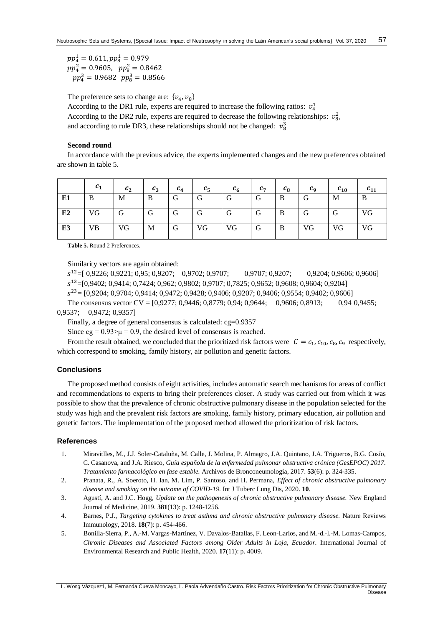$pp_4^1 = 0.611, pp_8^1 = 0.979$  $pp_4^2 = 0.9605$ ,  $pp_8^2 = 0.8462$  $pp_4^3 = 0.9682$   $pp_8^3 = 0.8566$ 

The preference sets to change are:  $\{v_4, v_8\}$ 

According to the DR1 rule, experts are required to increase the following ratios:  $v_4^1$ According to the DR2 rule, experts are required to decrease the following relationships:  $v_8^2$ , and according to rule DR3, these relationships should not be changed:  $v_8^3$ 

# **Second round**

In accordance with the previous advice, the experts implemented changes and the new preferences obtained are shown in table 5.

|    | c <sub>1</sub> | c <sub>2</sub> | $c_3$ | c <sub>4</sub> | $c_{5}$ | $c_{6}$ | $c_{7}$ | $c_8$ | $c_{\alpha}$ | $c_{10}$ | $c_{11}$ |
|----|----------------|----------------|-------|----------------|---------|---------|---------|-------|--------------|----------|----------|
| E1 | B              | M              | B     | G              | G       | G       | G       | B     | G            | М        | B        |
| E2 | VG             | G              | G     | G              | G       | G       | G       | B     | G            | G        | VG       |
| E3 | VB             | VG             | M     | l G            | VG      | VG.     | G       | B     | VG           | VG.      | VG       |

**Table 5.** Round 2 Preferences.

Similarity vectors are again obtained:

 $s^{12}$  = [ 0,9226; 0,9221; 0,95; 0,9207; 0,9702; 0,9707; 0,9707; 0,9207; 0,9204; 0,9606; 0,9606] <sup>13</sup>=[0,9402; 0,9414; 0,7424; 0,962; 0,9802; 0,9707; 0,7825; 0,9652; 0,9608; 0,9604; 0,9204]

 $s^{23}$  = [0,9204; 0,9704; 0,9414; 0,9472; 0,9428; 0,9406; 0,9207; 0,9406; 0,9554; 0,9402; 0,9606]

The consensus vector CV = [0,9277; 0,9446; 0,8779; 0,94; 0,9644; 0,9606; 0,8913; 0,94 0,9455; 0,9537; 0,9472; 0,9357]

Finally, a degree of general consensus is calculated: cg=0.9357

Since  $cg = 0.93 > \mu = 0.9$ , the desired level of consensus is reached.

From the result obtained, we concluded that the prioritized risk factors were  $C = c_1, c_{10}, c_8, c_9$  respectively, which correspond to smoking, family history, air pollution and genetic factors.

# **Conclusions**

The proposed method consists of eight activities, includes automatic search mechanisms for areas of conflict and recommendations to experts to bring their preferences closer. A study was carried out from which it was possible to show that the prevalence of chronic obstructive pulmonary disease in the population selected for the study was high and the prevalent risk factors are smoking, family history, primary education, air pollution and genetic factors. The implementation of the proposed method allowed the prioritization of risk factors.

#### **References**

- <span id="page-8-0"></span>1. Miravitlles, M., J.J. Soler-Cataluña, M. Calle, J. Molina, P. Almagro, J.A. Quintano, J.A. Trigueros, B.G. Cosío, C. Casanova, and J.A. Riesco, *Guía española de la enfermedad pulmonar obstructiva crónica (GesEPOC) 2017. Tratamiento farmacológico en fase estable.* Archivos de Bronconeumología, 2017. **53**(6): p. 324-335.
- <span id="page-8-1"></span>2. Pranata, R., A. Soeroto, H. Ian, M. Lim, P. Santoso, and H. Permana, *Effect of chronic obstructive pulmonary disease and smoking on the outcome of COVID-19.* Int J Tuberc Lung Dis, 2020. **10**.
- <span id="page-8-2"></span>3. Agustí, A. and J.C. Hogg, *Update on the pathogenesis of chronic obstructive pulmonary disease.* New England Journal of Medicine, 2019. **381**(13): p. 1248-1256.
- <span id="page-8-3"></span>4. Barnes, P.J., *Targeting cytokines to treat asthma and chronic obstructive pulmonary disease.* Nature Reviews Immunology, 2018. **18**(7): p. 454-466.
- <span id="page-8-4"></span>5. Bonilla-Sierra, P., A.-M. Vargas-Martínez, V. Davalos-Batallas, F. Leon-Larios, and M.-d.-l.-M. Lomas-Campos, *Chronic Diseases and Associated Factors among Older Adults in Loja, Ecuador.* International Journal of Environmental Research and Public Health, 2020. **17**(11): p. 4009.

L. Wong Vázquez1, M. Fernanda Cueva Moncayo, L. Paola Advendaño Castro. Risk Factors Prioritization for Chronic Obstructive Pulmonary Disease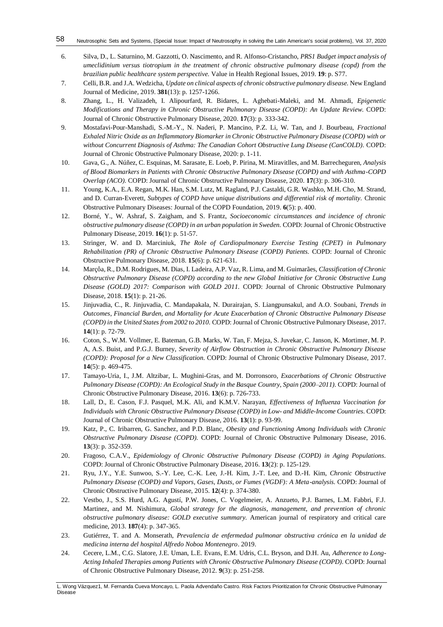#### Neutrosophic Sets and Systems, {Special Issue: Impact of Neutrosophy in solving the Latin American's social problems}, Vol. 37, 2020 58

- <span id="page-9-0"></span>6. Silva, D., L. Saturnino, M. Gazzotti, O. Nascimento, and R. Alfonso-Cristancho, *PRS1 Budget impact analysis of umeclidinium versus tiotropium in the treatment of chronic obstructive pulmonary disease (copd) from the brazilian public healthcare system perspective.* Value in Health Regional Issues, 2019. **19**: p. S77.
- <span id="page-9-1"></span>7. Celli, B.R. and J.A. Wedzicha, *Update on clinical aspects of chronic obstructive pulmonary disease.* New England Journal of Medicine, 2019. **381**(13): p. 1257-1266.
- <span id="page-9-2"></span>8. Zhang, L., H. Valizadeh, I. Alipourfard, R. Bidares, L. Aghebati-Maleki, and M. Ahmadi, *Epigenetic Modifications and Therapy in Chronic Obstructive Pulmonary Disease (COPD): An Update Review.* COPD: Journal of Chronic Obstructive Pulmonary Disease, 2020. **17**(3): p. 333-342.
- <span id="page-9-3"></span>9. Mostafavi-Pour-Manshadi, S.-M.-Y., N. Naderi, P. Mancino, P.Z. Li, W. Tan, and J. Bourbeau, *Fractional Exhaled Nitric Oxide as an Inflammatory Biomarker in Chronic Obstructive Pulmonary Disease (COPD) with or without Concurrent Diagnosis of Asthma: The Canadian Cohort Obstructive Lung Disease (CanCOLD).* COPD: Journal of Chronic Obstructive Pulmonary Disease, 2020: p. 1-11.
- <span id="page-9-4"></span>10. Gava, G., A. Núñez, C. Esquinas, M. Sarasate, E. Loeb, P. Pirina, M. Miravitlles, and M. Barrecheguren, *Analysis of Blood Biomarkers in Patients with Chronic Obstructive Pulmonary Disease (COPD) and with Asthma-COPD Overlap (ACO).* COPD: Journal of Chronic Obstructive Pulmonary Disease, 2020. **17**(3): p. 306-310.
- <span id="page-9-5"></span>11. Young, K.A., E.A. Regan, M.K. Han, S.M. Lutz, M. Ragland, P.J. Castaldi, G.R. Washko, M.H. Cho, M. Strand, and D. Curran-Everett, *Subtypes of COPD have unique distributions and differential risk of mortality.* Chronic Obstructive Pulmonary Diseases: Journal of the COPD Foundation, 2019. **6**(5): p. 400.
- <span id="page-9-6"></span>12. Borné, Y., W. Ashraf, S. Zaigham, and S. Frantz, *Socioeconomic circumstances and incidence of chronic obstructive pulmonary disease (COPD) in an urban population in Sweden.* COPD: Journal of Chronic Obstructive Pulmonary Disease, 2019. **16**(1): p. 51-57.
- <span id="page-9-17"></span>13. Stringer, W. and D. Marciniuk, *The Role of Cardiopulmonary Exercise Testing (CPET) in Pulmonary Rehabilitation (PR) of Chronic Obstructive Pulmonary Disease (COPD) Patients.* COPD: Journal of Chronic Obstructive Pulmonary Disease, 2018. **15**(6): p. 621-631.
- 14. Marçôa, R., D.M. Rodrigues, M. Dias, I. Ladeira, A.P. Vaz, R. Lima, and M. Guimarães, *Classification of Chronic Obstructive Pulmonary Disease (COPD) according to the new Global Initiative for Chronic Obstructive Lung Disease (GOLD) 2017: Comparison with GOLD 2011.* COPD: Journal of Chronic Obstructive Pulmonary Disease, 2018. **15**(1): p. 21-26.
- <span id="page-9-7"></span>15. Jinjuvadia, C., R. Jinjuvadia, C. Mandapakala, N. Durairajan, S. Liangpunsakul, and A.O. Soubani, *Trends in Outcomes, Financial Burden, and Mortality for Acute Exacerbation of Chronic Obstructive Pulmonary Disease (COPD) in the United States from 2002 to 2010.* COPD: Journal of Chronic Obstructive Pulmonary Disease, 2017. **14**(1): p. 72-79.
- <span id="page-9-8"></span>16. Coton, S., W.M. Vollmer, E. Bateman, G.B. Marks, W. Tan, F. Mejza, S. Juvekar, C. Janson, K. Mortimer, M. P. A, A.S. Buist, and P.G.J. Burney, *Severity of Airflow Obstruction in Chronic Obstructive Pulmonary Disease (COPD): Proposal for a New Classification.* COPD: Journal of Chronic Obstructive Pulmonary Disease, 2017. **14**(5): p. 469-475.
- <span id="page-9-9"></span>17. Tamayo-Uria, I., J.M. Altzibar, L. Mughini-Gras, and M. Dorronsoro, *Exacerbations of Chronic Obstructive Pulmonary Disease (COPD): An Ecological Study in the Basque Country, Spain (2000–2011).* COPD: Journal of Chronic Obstructive Pulmonary Disease, 2016. **13**(6): p. 726-733.
- <span id="page-9-10"></span>18. Lall, D., E. Cason, F.J. Pasquel, M.K. Ali, and K.M.V. Narayan, *Effectiveness of Influenza Vaccination for Individuals with Chronic Obstructive Pulmonary Disease (COPD) in Low- and Middle-Income Countries.* COPD: Journal of Chronic Obstructive Pulmonary Disease, 2016. **13**(1): p. 93-99.
- <span id="page-9-11"></span>19. Katz, P., C. Iribarren, G. Sanchez, and P.D. Blanc, *Obesity and Functioning Among Individuals with Chronic Obstructive Pulmonary Disease (COPD).* COPD: Journal of Chronic Obstructive Pulmonary Disease, 2016. **13**(3): p. 352-359.
- <span id="page-9-12"></span>20. Fragoso, C.A.V., *Epidemiology of Chronic Obstructive Pulmonary Disease (COPD) in Aging Populations.* COPD: Journal of Chronic Obstructive Pulmonary Disease, 2016. **13**(2): p. 125-129.
- <span id="page-9-13"></span>21. Ryu, J.Y., Y.E. Sunwoo, S.-Y. Lee, C.-K. Lee, J.-H. Kim, J.-T. Lee, and D.-H. Kim, *Chronic Obstructive Pulmonary Disease (COPD) and Vapors, Gases, Dusts, or Fumes (VGDF): A Meta-analysis.* COPD: Journal of Chronic Obstructive Pulmonary Disease, 2015. **12**(4): p. 374-380.
- <span id="page-9-14"></span>22. Vestbo, J., S.S. Hurd, A.G. Agustí, P.W. Jones, C. Vogelmeier, A. Anzueto, P.J. Barnes, L.M. Fabbri, F.J. Martinez, and M. Nishimura, *Global strategy for the diagnosis, management, and prevention of chronic obstructive pulmonary disease: GOLD executive summary.* American journal of respiratory and critical care medicine, 2013. **187**(4): p. 347-365.
- <span id="page-9-15"></span>23. Gutiérrez, T. and A. Monserath, *Prevalencia de enfermedad pulmonar obstructiva crónica en la unidad de medicina interna del hospital Alfredo Noboa Montenegro*. 2019.
- <span id="page-9-16"></span>24. Cecere, L.M., C.G. Slatore, J.E. Uman, L.E. Evans, E.M. Udris, C.L. Bryson, and D.H. Au, *Adherence to Long-Acting Inhaled Therapies among Patients with Chronic Obstructive Pulmonary Disease (COPD).* COPD: Journal of Chronic Obstructive Pulmonary Disease, 2012. **9**(3): p. 251-258.

L. Wong Vázquez1, M. Fernanda Cueva Moncayo, L. Paola Advendaño Castro. Risk Factors Prioritization for Chronic Obstructive Pulmonary Disease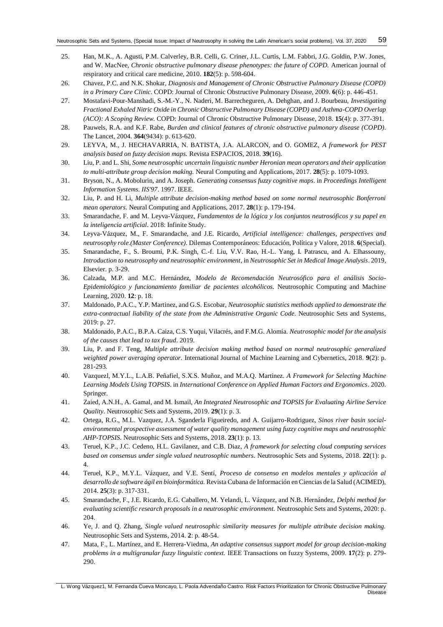- <span id="page-10-0"></span>25. Han, M.K., A. Agusti, P.M. Calverley, B.R. Celli, G. Criner, J.L. Curtis, L.M. Fabbri, J.G. Goldin, P.W. Jones, and W. MacNee, *Chronic obstructive pulmonary disease phenotypes: the future of COPD.* American journal of respiratory and critical care medicine, 2010. **182**(5): p. 598-604.
- <span id="page-10-1"></span>26. Chavez, P.C. and N.K. Shokar, *Diagnosis and Management of Chronic Obstructive Pulmonary Disease (COPD) in a Primary Care Clinic.* COPD: Journal of Chronic Obstructive Pulmonary Disease, 2009. **6**(6): p. 446-451.
- <span id="page-10-2"></span>27. Mostafavi-Pour-Manshadi, S.-M.-Y., N. Naderi, M. Barrecheguren, A. Dehghan, and J. Bourbeau, *Investigating Fractional Exhaled Nitric Oxide in Chronic Obstructive Pulmonary Disease (COPD) and Asthma-COPD Overlap (ACO): A Scoping Review.* COPD: Journal of Chronic Obstructive Pulmonary Disease, 2018. **15**(4): p. 377-391.
- <span id="page-10-3"></span>28. Pauwels, R.A. and K.F. Rabe, *Burden and clinical features of chronic obstructive pulmonary disease (COPD).* The Lancet, 2004. **364**(9434): p. 613-620.
- <span id="page-10-4"></span>29. LEYVA, M., J. HECHAVARRIA, N. BATISTA, J.A. ALARCON, and O. GOMEZ, *A framework for PEST analysis based on fuzzy decision maps.* Revista ESPACIOS, 2018. **39**(16).
- <span id="page-10-5"></span>30. Liu, P. and L. Shi, *Some neutrosophic uncertain linguistic number Heronian mean operators and their application to multi-attribute group decision making.* Neural Computing and Applications, 2017. **28**(5): p. 1079-1093.
- <span id="page-10-6"></span>31. Bryson, N., A. Mobolurin, and A. Joseph. *Generating consensus fuzzy cognitive maps*. in *Proceedings Intelligent Information Systems. IIS'97*. 1997. IEEE.
- <span id="page-10-7"></span>32. Liu, P. and H. Li, *Multiple attribute decision-making method based on some normal neutrosophic Bonferroni mean operators.* Neural Computing and Applications, 2017. **28**(1): p. 179-194.
- <span id="page-10-8"></span>33. Smarandache, F. and M. Leyva-Vázquez, *Fundamentos de la lógica y los conjuntos neutrosóficos y su papel en la inteligencia artificial*. 2018: Infinite Study.
- <span id="page-10-9"></span>34. Leyva-Vázquez, M., F. Smarandache, and J.E. Ricardo, *Artificial intelligence: challenges, perspectives and neutrosophy role.(Master Conference).* Dilemas Contemporáneos: Educación, Política y Valore, 2018. **6**(Special).
- <span id="page-10-10"></span>35. Smarandache, F., S. Broumi, P.K. Singh, C.-f. Liu, V.V. Rao, H.-L. Yang, I. Patrascu, and A. Elhassouny, *Introduction to neutrosophy and neutrosophic environment*, in *Neutrosophic Set in Medical Image Analysis*. 2019, Elsevier. p. 3-29.
- <span id="page-10-11"></span>36. Calzada, M.P. and M.C. Hernández, *Modelo de Recomendación Neutrosófico para el análisis Socio-Epidemiológico y funcionamiento familiar de pacientes alcohólicos.* Neutrosophic Computing and Machine Learning, 2020. **12**: p. 18.
- 37. Maldonado, P.A.C., Y.P. Martinez, and G.S. Escobar, *Neutrosophic statistics methods applied to demonstrate the extra-contractual liability of the state from the Administrative Organic Code.* Neutrosophic Sets and Systems, 2019: p. 27.
- 38. Maldonado, P.A.C., B.P.A. Caiza, C.S. Yuqui, Vilacrés, and F.M.G. Alomía. *Neutrosophic model for the analysis of the causes that lead to tax fraud*. 2019.
- <span id="page-10-12"></span>39. Liu, P. and F. Teng, *Multiple attribute decision making method based on normal neutrosophic generalized weighted power averaging operator.* International Journal of Machine Learning and Cybernetics, 2018. **9**(2): p. 281-293.
- <span id="page-10-13"></span>40. Vazquezl, M.Y.L., L.A.B. Peñafiel, S.X.S. Muñoz, and M.A.Q. Martinez. *A Framework for Selecting Machine Learning Models Using TOPSIS*. in *International Conference on Applied Human Factors and Ergonomics*. 2020. Springer.
- 41. Zaied, A.N.H., A. Gamal, and M. Ismail, *An Integrated Neutrosophic and TOPSIS for Evaluating Airline Service Quality.* Neutrosophic Sets and Systems, 2019. **29**(1): p. 3.
- 42. Ortega, R.G., M.L. Vazquez, J.A. Sganderla Figueiredo, and A. Guijarro-Rodriguez, *Sinos river basin socialenvironmental prospective assessment of water quality management using fuzzy cognitive maps and neutrosophic AHP-TOPSIS.* Neutrosophic Sets and Systems, 2018. **23**(1): p. 13.
- <span id="page-10-14"></span>43. Teruel, K.P., J.C. Cedeno, H.L. Gavilanez, and C.B. Diaz, *A framework for selecting cloud computing services based on consensus under single valued neutrosophic numbers.* Neutrosophic Sets and Systems, 2018. **22**(1): p. 4.
- 44. Teruel, K.P., M.Y.L. Vázquez, and V.E. Sentí, *Proceso de consenso en modelos mentales y aplicación al desarrollo de software ágil en bioinformática.* Revista Cubana de Información en Ciencias de la Salud (ACIMED), 2014. **25**(3): p. 317-331.
- 45. Smarandache, F., J.E. Ricardo, E.G. Caballero, M. Yelandi, L. Vázquez, and N.B. Hernández, *Delphi method for evaluating scientific research proposals in a neutrosophic environment.* Neutrosophic Sets and Systems, 2020: p. 204.
- <span id="page-10-15"></span>46. Ye, J. and Q. Zhang, *Single valued neutrosophic similarity measures for multiple attribute decision making.* Neutrosophic Sets and Systems, 2014. **2**: p. 48-54.
- <span id="page-10-16"></span>47. Mata, F., L. Martínez, and E. Herrera-Viedma, *An adaptive consensus support model for group decision-making problems in a multigranular fuzzy linguistic context.* IEEE Transactions on fuzzy Systems, 2009. **17**(2): p. 279- 290.

L. Wong Vázquez1, M. Fernanda Cueva Moncayo, L. Paola Advendaño Castro. Risk Factors Prioritization for Chronic Obstructive Pulmonary Disease